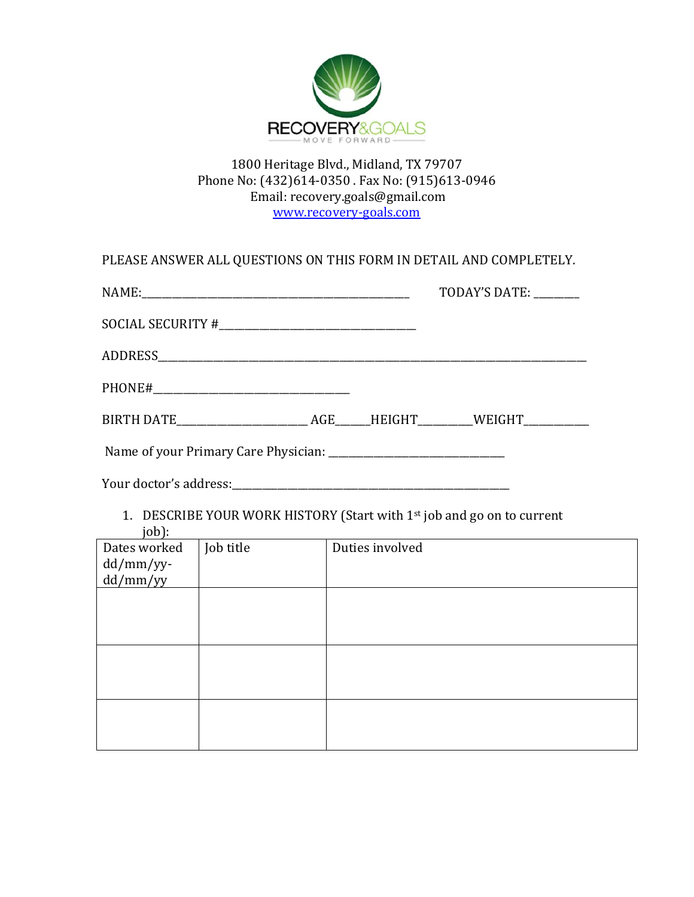

### 1800 Heritage Blvd., Midland, TX 79707 Phone No: (432)614-0350 . Fax No: (915)613-0946 Email: recovery.goals@gmail.com www.recovery‐goals.com

|                                      |           |                 | PLEASE ANSWER ALL QUESTIONS ON THIS FORM IN DETAIL AND COMPLETELY.     |
|--------------------------------------|-----------|-----------------|------------------------------------------------------------------------|
|                                      |           |                 | TODAY'S DATE:                                                          |
|                                      |           |                 |                                                                        |
|                                      |           |                 |                                                                        |
|                                      |           |                 |                                                                        |
|                                      |           |                 |                                                                        |
|                                      |           |                 |                                                                        |
|                                      |           |                 |                                                                        |
| job):                                |           |                 | 1. DESCRIBE YOUR WORK HISTORY (Start with 1st job and go on to current |
| Dates worked<br>dd/mm/yy<br>dd/mm/yy | Job title | Duties involved |                                                                        |
|                                      |           |                 |                                                                        |
|                                      |           |                 |                                                                        |
|                                      |           |                 |                                                                        |
|                                      |           |                 |                                                                        |
|                                      |           |                 |                                                                        |
|                                      |           |                 |                                                                        |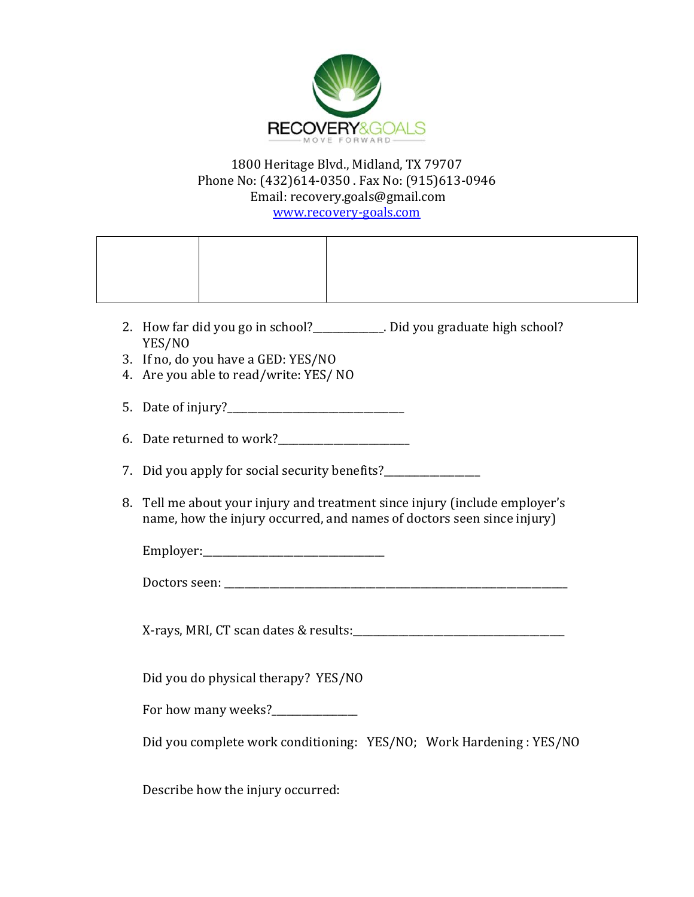

## 1800 Heritage Blvd., Midland, TX 79707 Phone No: (432)614-0350 . Fax No: (915)613-0946 Email: recovery.goals@gmail.com

www.recovery‐goals.com

|    | 2. How far did you go in school?___________. Did you graduate high school?<br>YES/NO                                                                                                                                                   |
|----|----------------------------------------------------------------------------------------------------------------------------------------------------------------------------------------------------------------------------------------|
|    | 3. If no, do you have a GED: YES/NO<br>4. Are you able to read/write: YES/ NO                                                                                                                                                          |
|    |                                                                                                                                                                                                                                        |
|    | 6. Date returned to work?<br><u>Letter and the subset of the subset of the subset of the subset of the subset of the subset of the subset of the subset of the subset of the subset of the subset of the subset of the subset of t</u> |
| 7. |                                                                                                                                                                                                                                        |
| 8. | Tell me about your injury and treatment since injury (include employer's<br>name, how the injury occurred, and names of doctors seen since injury)                                                                                     |
|    |                                                                                                                                                                                                                                        |
|    |                                                                                                                                                                                                                                        |
|    |                                                                                                                                                                                                                                        |
|    | Did you do physical therapy? YES/NO                                                                                                                                                                                                    |
|    | For how many weeks?_______________                                                                                                                                                                                                     |
|    | Did you complete work conditioning: YES/NO; Work Hardening: YES/NO                                                                                                                                                                     |
|    | Describe how the injury occurred:                                                                                                                                                                                                      |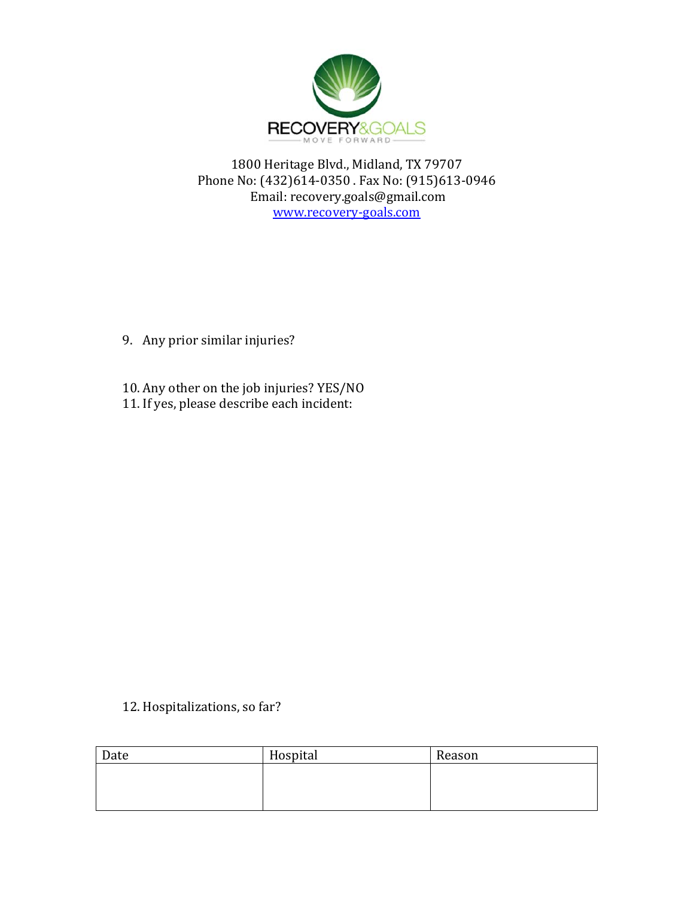

1800 Heritage Blvd., Midland, TX 79707 Phone No: (432)614-0350 . Fax No: (915)613-0946 Email: recovery.goals@gmail.com www.recovery‐goals.com

- 9. Any prior similar injuries?
- 10. Any other on the job injuries? YES/NO
- 11. If yes, please describe each incident:

12. Hospitalizations, so far?

| Date | Hospital | Reason |
|------|----------|--------|
|      |          |        |
|      |          |        |
|      |          |        |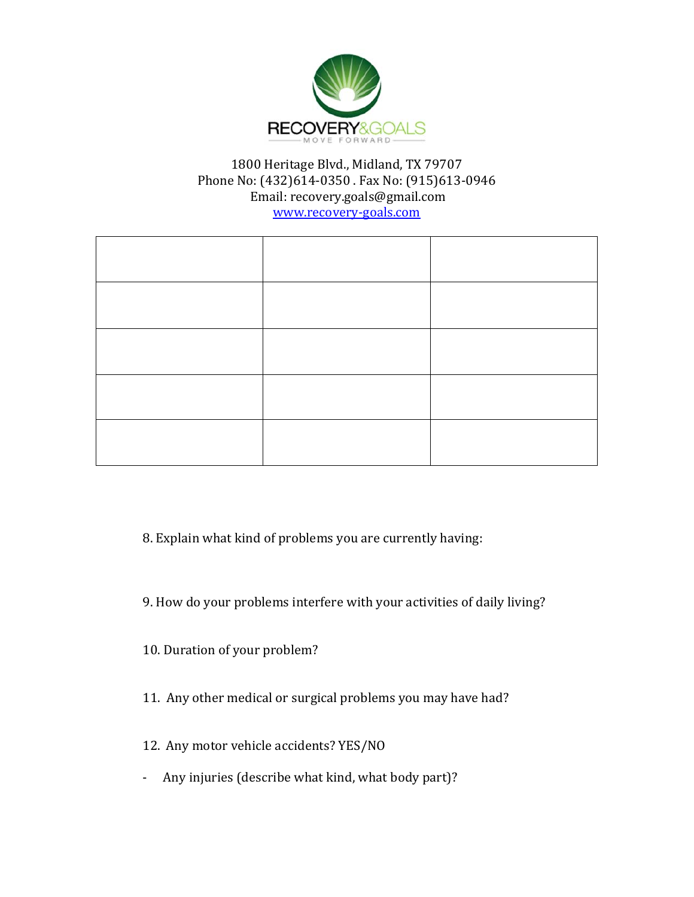

## 1800 Heritage Blvd., Midland, TX 79707 Phone No: (432)614-0350 . Fax No: (915)613-0946 Email: recovery.goals@gmail.com

www.recovery‐goals.com

8. Explain what kind of problems you are currently having:

9. How do your problems interfere with your activities of daily living?

10. Duration of your problem?

11. Any other medical or surgical problems you may have had?

12. Any motor vehicle accidents? YES/NO

- Any injuries (describe what kind, what body part)?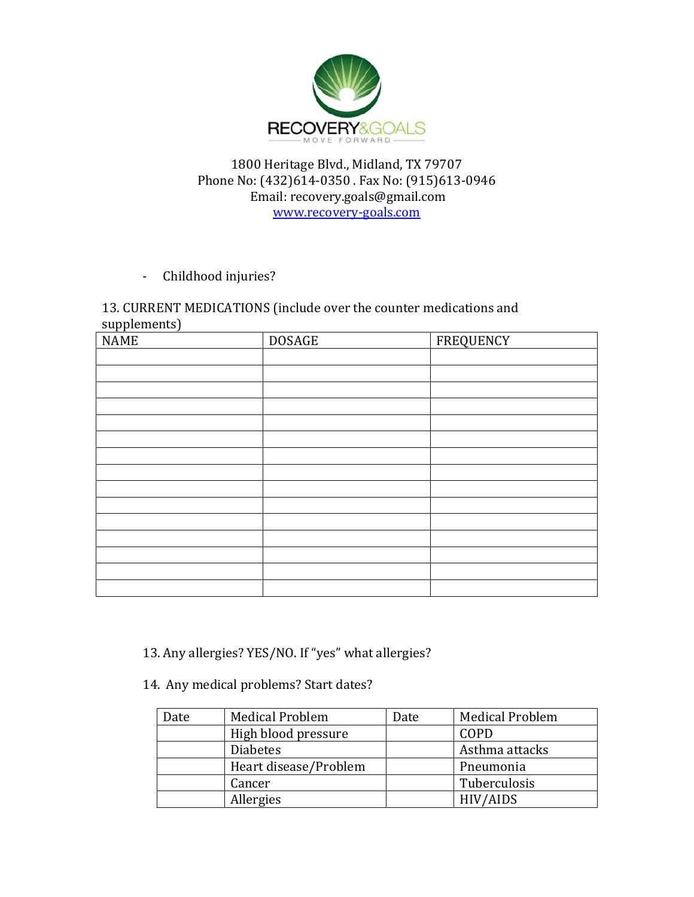

#### 1800 Heritage Blvd., Midland, TX 79707 Phone No: (432)614-0350 . Fax No: (915)613-0946 Email: recovery.goals@gmail.com www.recovery‐goals.com

- Childhood injuries?

#### 13. CURRENT MEDICATIONS (include over the counter medications and supplements)

| <b>NAME</b> | <b>DOSAGE</b> | <b>FREQUENCY</b> |
|-------------|---------------|------------------|
|             |               |                  |
|             |               |                  |
|             |               |                  |
|             |               |                  |
|             |               |                  |
|             |               |                  |
|             |               |                  |
|             |               |                  |
|             |               |                  |
|             |               |                  |
|             |               |                  |
|             |               |                  |
|             |               |                  |
|             |               |                  |
|             |               |                  |

13. Any allergies? YES/NO. If "yes" what allergies?

### 14. Any medical problems? Start dates?

| Date | <b>Medical Problem</b> | Date | <b>Medical Problem</b> |
|------|------------------------|------|------------------------|
|      | High blood pressure    |      | COPD                   |
|      | <b>Diabetes</b>        |      | Asthma attacks         |
|      | Heart disease/Problem  |      | Pneumonia              |
|      | Cancer                 |      | Tuberculosis           |
|      | Allergies              |      | <b>HIV/AIDS</b>        |